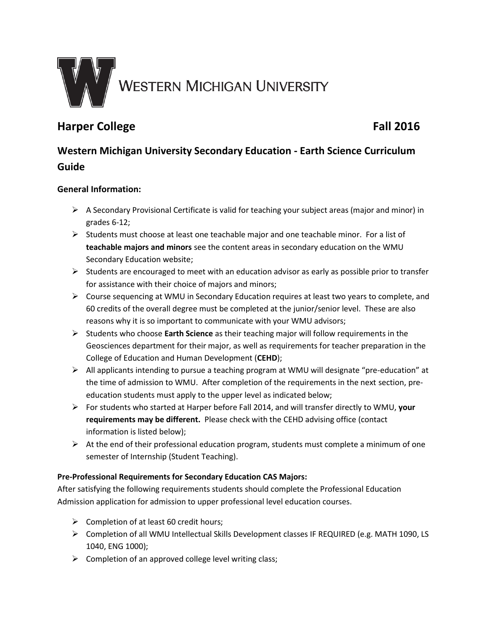

# **Harper College Fall 2016**

# **Western Michigan University Secondary Education - Earth Science Curriculum Guide**

# **General Information:**

- $\triangleright$  A Secondary Provisional Certificate is valid for teaching your subject areas (major and minor) in grades 6-12;
- $\triangleright$  Students must choose at least one teachable major and one teachable minor. For a list of **teachable majors and minors** see the content areas in secondary education on the WMU Secondary Education website;
- $\triangleright$  Students are encouraged to meet with an education advisor as early as possible prior to transfer for assistance with their choice of majors and minors;
- $\triangleright$  Course sequencing at WMU in Secondary Education requires at least two years to complete, and 60 credits of the overall degree must be completed at the junior/senior level. These are also reasons why it is so important to communicate with your WMU advisors;
- Students who choose **Earth Science** as their teaching major will follow requirements in the Geosciences department for their major, as well as requirements for teacher preparation in the College of Education and Human Development (**CEHD**);
- $\triangleright$  All applicants intending to pursue a teaching program at WMU will designate "pre-education" at the time of admission to WMU. After completion of the requirements in the next section, preeducation students must apply to the upper level as indicated below;
- For students who started at Harper before Fall 2014, and will transfer directly to WMU, **your requirements may be different.** Please check with the CEHD advising office (contact information is listed below);
- $\triangleright$  At the end of their professional education program, students must complete a minimum of one semester of Internship (Student Teaching).

## **Pre-Professional Requirements for Secondary Education CAS Majors:**

After satisfying the following requirements students should complete the Professional Education Admission application for admission to upper professional level education courses.

- $\triangleright$  Completion of at least 60 credit hours;
- Completion of all WMU Intellectual Skills Development classes IF REQUIRED (e.g. MATH 1090, LS 1040, ENG 1000);
- $\triangleright$  Completion of an approved college level writing class;